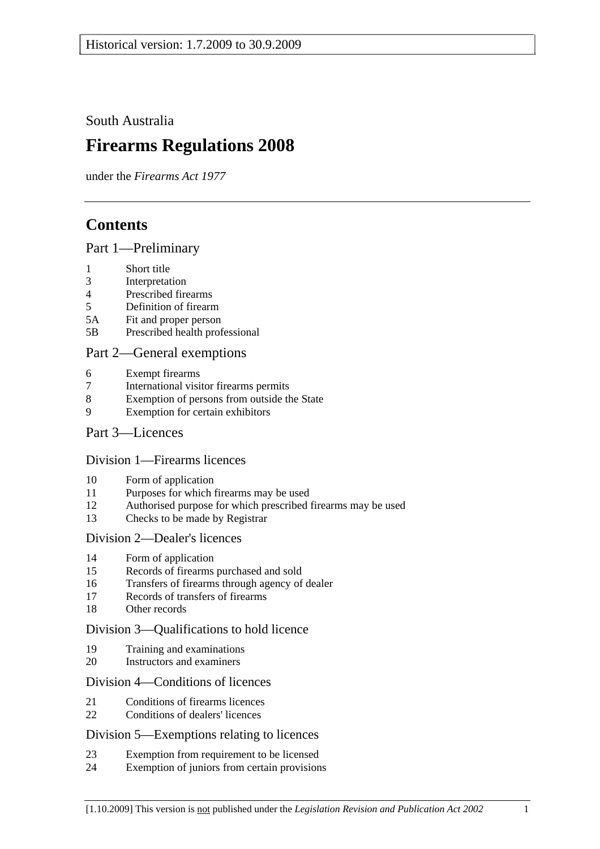South Australia

# **Firearms Regulations 2008**

under the *Firearms Act 1977*

## **Contents**

#### Part 1—Preliminary

- 1 Short title
- 3 Interpretation
- 4 Prescribed firearms
- 5 Definition of firearm
- 5A Fit and proper person
- 5B Prescribed health professional

#### Part 2—General exemptions

- 6 Exempt firearms
- 7 International visitor firearms permits
- 8 Exemption of persons from outside the State
- 9 Exemption for certain exhibitors

#### Part 3—Licences

#### Division 1—Firearms licences

- 10 Form of application
- 11 Purposes for which firearms may be used
- 12 Authorised purpose for which prescribed firearms may be used
- 13 Checks to be made by Registrar

#### Division 2—Dealer's licences

- 14 Form of application
- 15 Records of firearms purchased and sold
- 16 Transfers of firearms through agency of dealer
- 17 Records of transfers of firearms
- 18 Other records

#### Division 3—Qualifications to hold licence

- 19 Training and examinations
- 20 Instructors and examiners

#### Division 4—Conditions of licences

- 21 Conditions of firearms licences
- 22 Conditions of dealers' licences

#### Division 5—Exemptions relating to licences

- 23 Exemption from requirement to be licensed
- 24 Exemption of juniors from certain provisions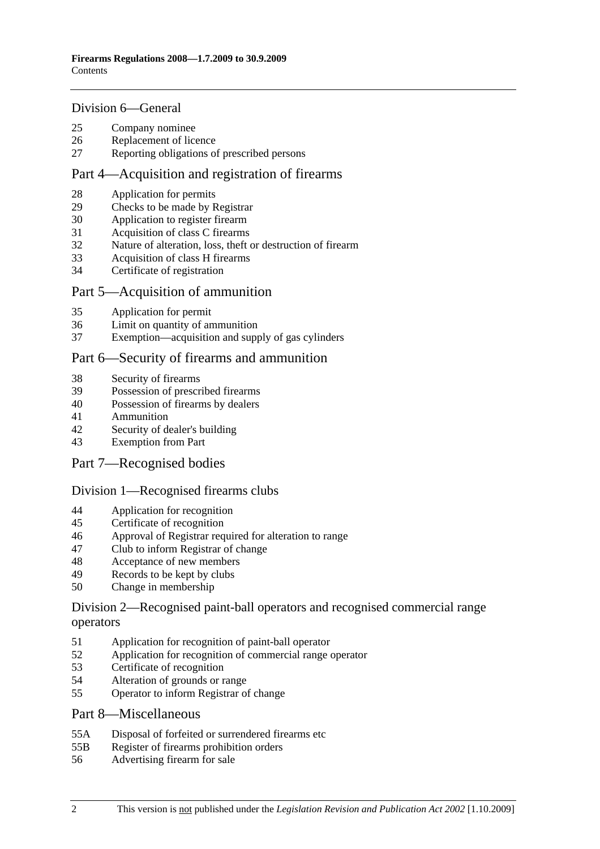#### Division 6—General

- 25 Company nominee
- 26 Replacement of licence
- 27 Reporting obligations of prescribed persons

#### Part 4—Acquisition and registration of firearms

- 28 Application for permits
- 29 Checks to be made by Registrar
- 30 Application to register firearm
- 31 Acquisition of class C firearms
- 32 Nature of alteration, loss, theft or destruction of firearm
- 33 Acquisition of class H firearms
- 34 Certificate of registration

#### Part 5—Acquisition of ammunition

- 35 Application for permit
- 36 Limit on quantity of ammunition
- 37 Exemption—acquisition and supply of gas cylinders

#### Part 6—Security of firearms and ammunition

- 38 Security of firearms
- 39 Possession of prescribed firearms
- 40 Possession of firearms by dealers
- 41 Ammunition
- 42 Security of dealer's building
- 43 Exemption from Part
- Part 7—Recognised bodies

#### Division 1—Recognised firearms clubs

- 44 Application for recognition
- 45 Certificate of recognition
- 46 Approval of Registrar required for alteration to range
- 47 Club to inform Registrar of change
- 48 Acceptance of new members
- 49 Records to be kept by clubs
- 50 Change in membership

#### Division 2—Recognised paint-ball operators and recognised commercial range operators

- 51 Application for recognition of paint-ball operator
- 52 Application for recognition of commercial range operator
- 53 Certificate of recognition
- 54 Alteration of grounds or range
- 55 Operator to inform Registrar of change

#### Part 8—Miscellaneous

- 55A Disposal of forfeited or surrendered firearms etc
- 55B Register of firearms prohibition orders
- 56 Advertising firearm for sale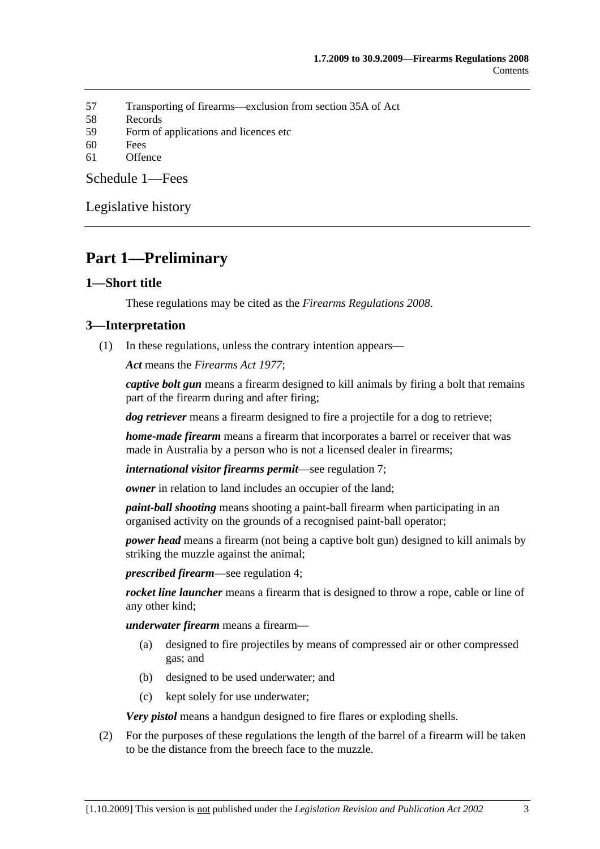- 57 Transporting of firearms—exclusion from section 35A of Act
- 58 Records
- 59 Form of applications and licences etc
- 60 Fees
- 61 Offence

Schedule 1—Fees

Legislative history

## **Part 1—Preliminary**

#### **1—Short title**

These regulations may be cited as the *Firearms Regulations 2008*.

#### **3—Interpretation**

(1) In these regulations, unless the contrary intention appears—

*Act* means the *Firearms Act 1977*;

*captive bolt gun* means a firearm designed to kill animals by firing a bolt that remains part of the firearm during and after firing;

*dog retriever* means a firearm designed to fire a projectile for a dog to retrieve;

*home-made firearm* means a firearm that incorporates a barrel or receiver that was made in Australia by a person who is not a licensed dealer in firearms;

*international visitor firearms permit*—see regulation 7;

*owner* in relation to land includes an occupier of the land;

*paint-ball shooting* means shooting a paint-ball firearm when participating in an organised activity on the grounds of a recognised paint-ball operator;

*power head* means a firearm (not being a captive bolt gun) designed to kill animals by striking the muzzle against the animal;

*prescribed firearm*—see regulation 4;

*rocket line launcher* means a firearm that is designed to throw a rope, cable or line of any other kind;

*underwater firearm* means a firearm—

- (a) designed to fire projectiles by means of compressed air or other compressed gas; and
- (b) designed to be used underwater; and
- (c) kept solely for use underwater;

*Very pistol* means a handgun designed to fire flares or exploding shells.

 (2) For the purposes of these regulations the length of the barrel of a firearm will be taken to be the distance from the breech face to the muzzle.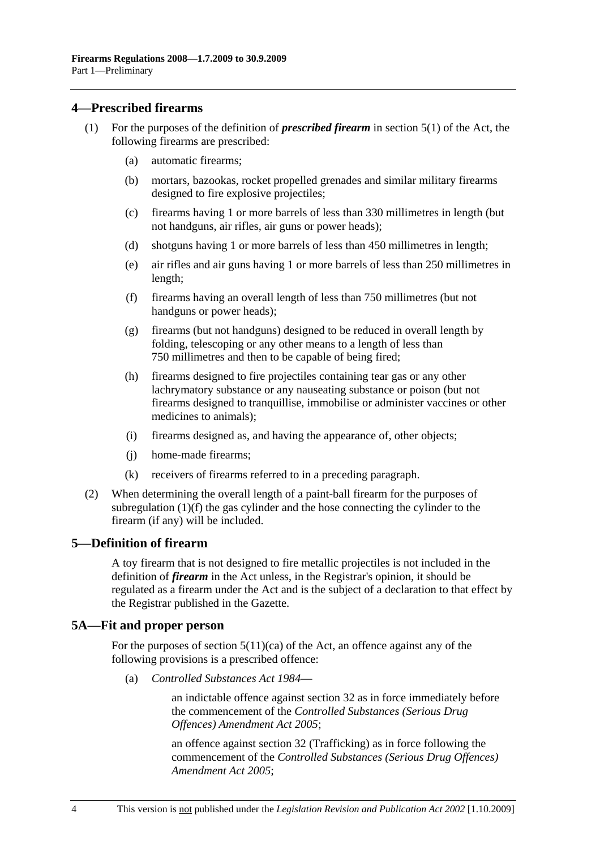#### **4—Prescribed firearms**

- (1) For the purposes of the definition of *prescribed firearm* in section 5(1) of the Act, the following firearms are prescribed:
	- (a) automatic firearms;
	- (b) mortars, bazookas, rocket propelled grenades and similar military firearms designed to fire explosive projectiles;
	- (c) firearms having 1 or more barrels of less than 330 millimetres in length (but not handguns, air rifles, air guns or power heads);
	- (d) shotguns having 1 or more barrels of less than 450 millimetres in length;
	- (e) air rifles and air guns having 1 or more barrels of less than 250 millimetres in length;
	- (f) firearms having an overall length of less than 750 millimetres (but not handguns or power heads);
	- (g) firearms (but not handguns) designed to be reduced in overall length by folding, telescoping or any other means to a length of less than 750 millimetres and then to be capable of being fired;
	- (h) firearms designed to fire projectiles containing tear gas or any other lachrymatory substance or any nauseating substance or poison (but not firearms designed to tranquillise, immobilise or administer vaccines or other medicines to animals);
	- (i) firearms designed as, and having the appearance of, other objects;
	- (j) home-made firearms;
	- (k) receivers of firearms referred to in a preceding paragraph.
- (2) When determining the overall length of a paint-ball firearm for the purposes of subregulation (1)(f) the gas cylinder and the hose connecting the cylinder to the firearm (if any) will be included.

#### **5—Definition of firearm**

A toy firearm that is not designed to fire metallic projectiles is not included in the definition of *firearm* in the Act unless, in the Registrar's opinion, it should be regulated as a firearm under the Act and is the subject of a declaration to that effect by the Registrar published in the Gazette.

#### **5A—Fit and proper person**

For the purposes of section  $5(11)(ca)$  of the Act, an offence against any of the following provisions is a prescribed offence:

(a) *Controlled Substances Act 1984*—

an indictable offence against section 32 as in force immediately before the commencement of the *Controlled Substances (Serious Drug Offences) Amendment Act 2005*;

an offence against section 32 (Trafficking) as in force following the commencement of the *Controlled Substances (Serious Drug Offences) Amendment Act 2005*;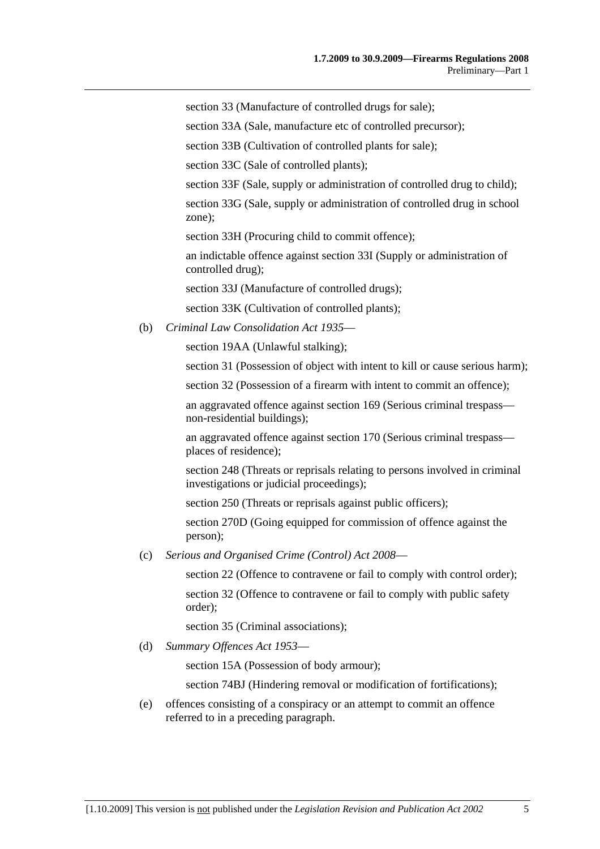section 33 (Manufacture of controlled drugs for sale);

section 33A (Sale, manufacture etc of controlled precursor);

section 33B (Cultivation of controlled plants for sale);

section 33C (Sale of controlled plants);

section 33F (Sale, supply or administration of controlled drug to child);

section 33G (Sale, supply or administration of controlled drug in school zone);

section 33H (Procuring child to commit offence);

an indictable offence against section 33I (Supply or administration of controlled drug);

section 33J (Manufacture of controlled drugs);

section 33K (Cultivation of controlled plants);

(b) *Criminal Law Consolidation Act 1935*—

section 19AA (Unlawful stalking);

section 31 (Possession of object with intent to kill or cause serious harm);

section 32 (Possession of a firearm with intent to commit an offence);

an aggravated offence against section 169 (Serious criminal trespass non-residential buildings);

an aggravated offence against section 170 (Serious criminal trespass places of residence);

section 248 (Threats or reprisals relating to persons involved in criminal investigations or judicial proceedings);

section 250 (Threats or reprisals against public officers);

section 270D (Going equipped for commission of offence against the person);

(c) *Serious and Organised Crime (Control) Act 2008*—

section 22 (Offence to contravene or fail to comply with control order);

section 32 (Offence to contravene or fail to comply with public safety order);

section 35 (Criminal associations);

(d) *Summary Offences Act 1953*—

section 15A (Possession of body armour);

section 74BJ (Hindering removal or modification of fortifications);

 (e) offences consisting of a conspiracy or an attempt to commit an offence referred to in a preceding paragraph.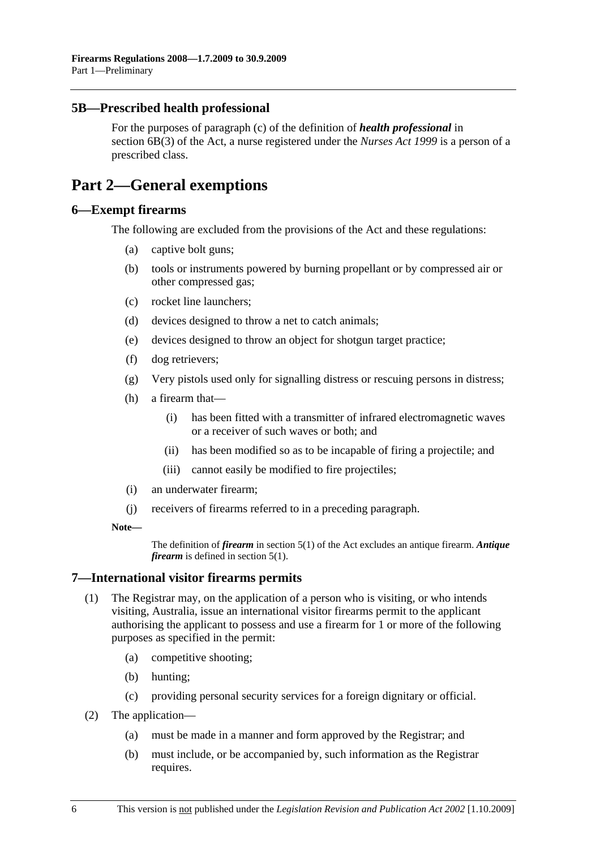#### **5B—Prescribed health professional**

For the purposes of paragraph (c) of the definition of *health professional* in section 6B(3) of the Act, a nurse registered under the *Nurses Act 1999* is a person of a prescribed class.

## **Part 2—General exemptions**

#### **6—Exempt firearms**

The following are excluded from the provisions of the Act and these regulations:

- (a) captive bolt guns;
- (b) tools or instruments powered by burning propellant or by compressed air or other compressed gas;
- (c) rocket line launchers;
- (d) devices designed to throw a net to catch animals;
- (e) devices designed to throw an object for shotgun target practice;
- (f) dog retrievers;
- (g) Very pistols used only for signalling distress or rescuing persons in distress;
- (h) a firearm that—
	- (i) has been fitted with a transmitter of infrared electromagnetic waves or a receiver of such waves or both; and
	- (ii) has been modified so as to be incapable of firing a projectile; and
	- (iii) cannot easily be modified to fire projectiles;
- (i) an underwater firearm;
- (j) receivers of firearms referred to in a preceding paragraph.

#### **Note—**

The definition of *firearm* in section 5(1) of the Act excludes an antique firearm. *Antique firearm* is defined in section 5(1).

#### **7—International visitor firearms permits**

- (1) The Registrar may, on the application of a person who is visiting, or who intends visiting, Australia, issue an international visitor firearms permit to the applicant authorising the applicant to possess and use a firearm for 1 or more of the following purposes as specified in the permit:
	- (a) competitive shooting;
	- (b) hunting;
	- (c) providing personal security services for a foreign dignitary or official.
- (2) The application—
	- (a) must be made in a manner and form approved by the Registrar; and
	- (b) must include, or be accompanied by, such information as the Registrar requires.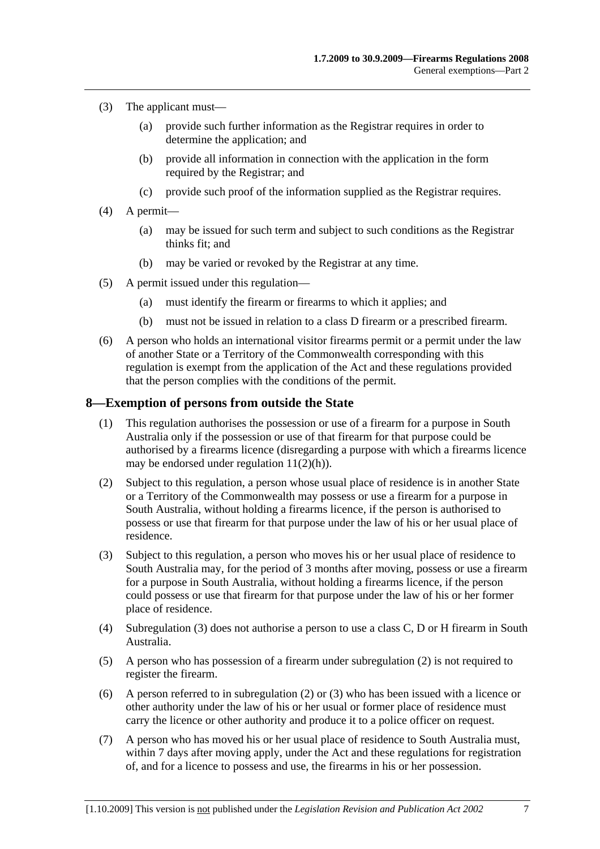- (3) The applicant must—
	- (a) provide such further information as the Registrar requires in order to determine the application; and
	- (b) provide all information in connection with the application in the form required by the Registrar; and
	- (c) provide such proof of the information supplied as the Registrar requires.
- (4) A permit—
	- (a) may be issued for such term and subject to such conditions as the Registrar thinks fit; and
	- (b) may be varied or revoked by the Registrar at any time.
- (5) A permit issued under this regulation—
	- (a) must identify the firearm or firearms to which it applies; and
	- (b) must not be issued in relation to a class D firearm or a prescribed firearm.
- (6) A person who holds an international visitor firearms permit or a permit under the law of another State or a Territory of the Commonwealth corresponding with this regulation is exempt from the application of the Act and these regulations provided that the person complies with the conditions of the permit.

#### **8—Exemption of persons from outside the State**

- (1) This regulation authorises the possession or use of a firearm for a purpose in South Australia only if the possession or use of that firearm for that purpose could be authorised by a firearms licence (disregarding a purpose with which a firearms licence may be endorsed under regulation 11(2)(h)).
- (2) Subject to this regulation, a person whose usual place of residence is in another State or a Territory of the Commonwealth may possess or use a firearm for a purpose in South Australia, without holding a firearms licence, if the person is authorised to possess or use that firearm for that purpose under the law of his or her usual place of residence.
- (3) Subject to this regulation, a person who moves his or her usual place of residence to South Australia may, for the period of 3 months after moving, possess or use a firearm for a purpose in South Australia, without holding a firearms licence, if the person could possess or use that firearm for that purpose under the law of his or her former place of residence.
- (4) Subregulation (3) does not authorise a person to use a class C, D or H firearm in South Australia.
- (5) A person who has possession of a firearm under subregulation (2) is not required to register the firearm.
- (6) A person referred to in subregulation (2) or (3) who has been issued with a licence or other authority under the law of his or her usual or former place of residence must carry the licence or other authority and produce it to a police officer on request.
- (7) A person who has moved his or her usual place of residence to South Australia must, within 7 days after moving apply, under the Act and these regulations for registration of, and for a licence to possess and use, the firearms in his or her possession.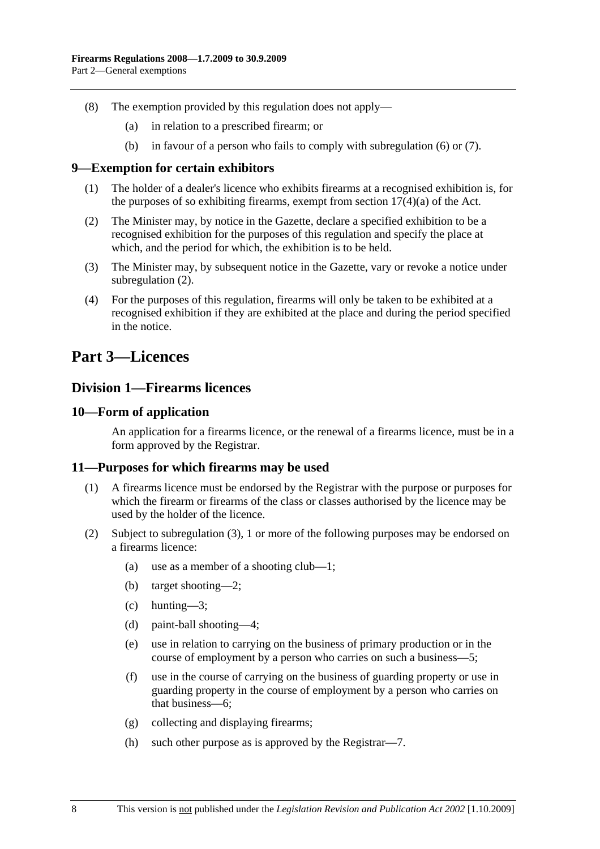- (8) The exemption provided by this regulation does not apply—
	- (a) in relation to a prescribed firearm; or
	- (b) in favour of a person who fails to comply with subregulation (6) or (7).

#### **9—Exemption for certain exhibitors**

- (1) The holder of a dealer's licence who exhibits firearms at a recognised exhibition is, for the purposes of so exhibiting firearms, exempt from section  $17(4)(a)$  of the Act.
- (2) The Minister may, by notice in the Gazette, declare a specified exhibition to be a recognised exhibition for the purposes of this regulation and specify the place at which, and the period for which, the exhibition is to be held.
- (3) The Minister may, by subsequent notice in the Gazette, vary or revoke a notice under subregulation  $(2)$ .
- (4) For the purposes of this regulation, firearms will only be taken to be exhibited at a recognised exhibition if they are exhibited at the place and during the period specified in the notice.

## **Part 3—Licences**

### **Division 1—Firearms licences**

#### **10—Form of application**

An application for a firearms licence, or the renewal of a firearms licence, must be in a form approved by the Registrar.

#### **11—Purposes for which firearms may be used**

- (1) A firearms licence must be endorsed by the Registrar with the purpose or purposes for which the firearm or firearms of the class or classes authorised by the licence may be used by the holder of the licence.
- (2) Subject to subregulation (3), 1 or more of the following purposes may be endorsed on a firearms licence:
	- (a) use as a member of a shooting club—1;
	- (b) target shooting—2;
	- (c) hunting—3;
	- (d) paint-ball shooting—4;
	- (e) use in relation to carrying on the business of primary production or in the course of employment by a person who carries on such a business—5;
	- (f) use in the course of carrying on the business of guarding property or use in guarding property in the course of employment by a person who carries on that business—6;
	- (g) collecting and displaying firearms;
	- (h) such other purpose as is approved by the Registrar—7.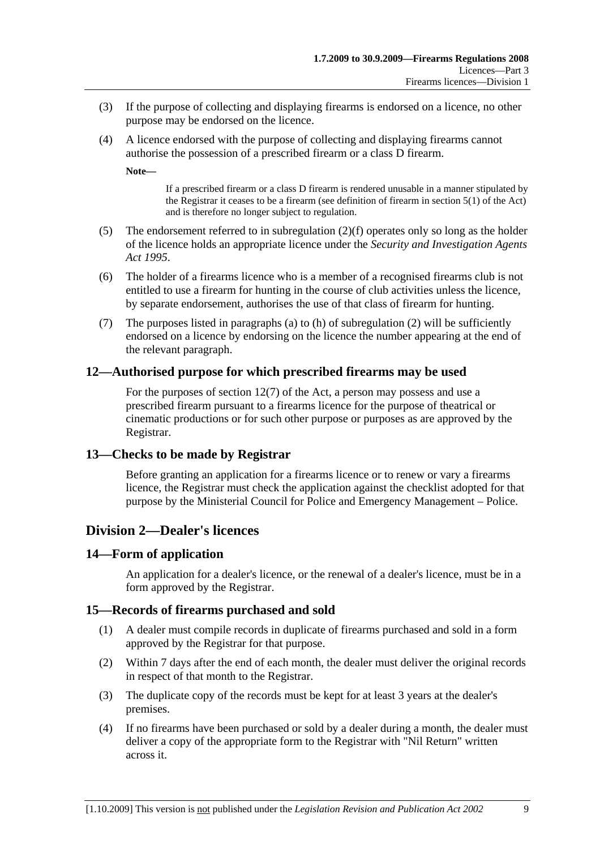- (3) If the purpose of collecting and displaying firearms is endorsed on a licence, no other purpose may be endorsed on the licence.
- (4) A licence endorsed with the purpose of collecting and displaying firearms cannot authorise the possession of a prescribed firearm or a class D firearm.

**Note—** 

If a prescribed firearm or a class D firearm is rendered unusable in a manner stipulated by the Registrar it ceases to be a firearm (see definition of firearm in section 5(1) of the Act) and is therefore no longer subject to regulation.

- (5) The endorsement referred to in subregulation (2)(f) operates only so long as the holder of the licence holds an appropriate licence under the *Security and Investigation Agents Act 1995*.
- (6) The holder of a firearms licence who is a member of a recognised firearms club is not entitled to use a firearm for hunting in the course of club activities unless the licence, by separate endorsement, authorises the use of that class of firearm for hunting.
- (7) The purposes listed in paragraphs (a) to (h) of subregulation (2) will be sufficiently endorsed on a licence by endorsing on the licence the number appearing at the end of the relevant paragraph.

#### **12—Authorised purpose for which prescribed firearms may be used**

For the purposes of section 12(7) of the Act, a person may possess and use a prescribed firearm pursuant to a firearms licence for the purpose of theatrical or cinematic productions or for such other purpose or purposes as are approved by the Registrar.

#### **13—Checks to be made by Registrar**

Before granting an application for a firearms licence or to renew or vary a firearms licence, the Registrar must check the application against the checklist adopted for that purpose by the Ministerial Council for Police and Emergency Management – Police.

#### **Division 2—Dealer's licences**

#### **14—Form of application**

An application for a dealer's licence, or the renewal of a dealer's licence, must be in a form approved by the Registrar.

#### **15—Records of firearms purchased and sold**

- (1) A dealer must compile records in duplicate of firearms purchased and sold in a form approved by the Registrar for that purpose.
- (2) Within 7 days after the end of each month, the dealer must deliver the original records in respect of that month to the Registrar.
- (3) The duplicate copy of the records must be kept for at least 3 years at the dealer's premises.
- (4) If no firearms have been purchased or sold by a dealer during a month, the dealer must deliver a copy of the appropriate form to the Registrar with "Nil Return" written across it.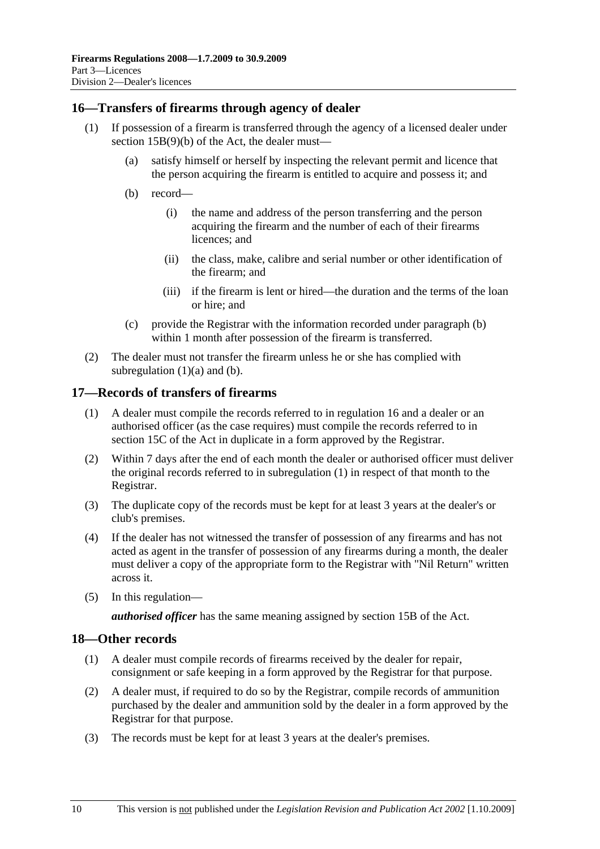#### **16—Transfers of firearms through agency of dealer**

- (1) If possession of a firearm is transferred through the agency of a licensed dealer under section 15B(9)(b) of the Act, the dealer must—
	- (a) satisfy himself or herself by inspecting the relevant permit and licence that the person acquiring the firearm is entitled to acquire and possess it; and
	- (b) record—
		- (i) the name and address of the person transferring and the person acquiring the firearm and the number of each of their firearms licences; and
		- (ii) the class, make, calibre and serial number or other identification of the firearm; and
		- (iii) if the firearm is lent or hired—the duration and the terms of the loan or hire; and
	- (c) provide the Registrar with the information recorded under paragraph (b) within 1 month after possession of the firearm is transferred.
- (2) The dealer must not transfer the firearm unless he or she has complied with subregulation  $(1)(a)$  and  $(b)$ .

#### **17—Records of transfers of firearms**

- (1) A dealer must compile the records referred to in regulation 16 and a dealer or an authorised officer (as the case requires) must compile the records referred to in section 15C of the Act in duplicate in a form approved by the Registrar.
- (2) Within 7 days after the end of each month the dealer or authorised officer must deliver the original records referred to in subregulation (1) in respect of that month to the Registrar.
- (3) The duplicate copy of the records must be kept for at least 3 years at the dealer's or club's premises.
- (4) If the dealer has not witnessed the transfer of possession of any firearms and has not acted as agent in the transfer of possession of any firearms during a month, the dealer must deliver a copy of the appropriate form to the Registrar with "Nil Return" written across it.
- (5) In this regulation—

*authorised officer* has the same meaning assigned by section 15B of the Act.

#### **18—Other records**

- (1) A dealer must compile records of firearms received by the dealer for repair, consignment or safe keeping in a form approved by the Registrar for that purpose.
- (2) A dealer must, if required to do so by the Registrar, compile records of ammunition purchased by the dealer and ammunition sold by the dealer in a form approved by the Registrar for that purpose.
- (3) The records must be kept for at least 3 years at the dealer's premises.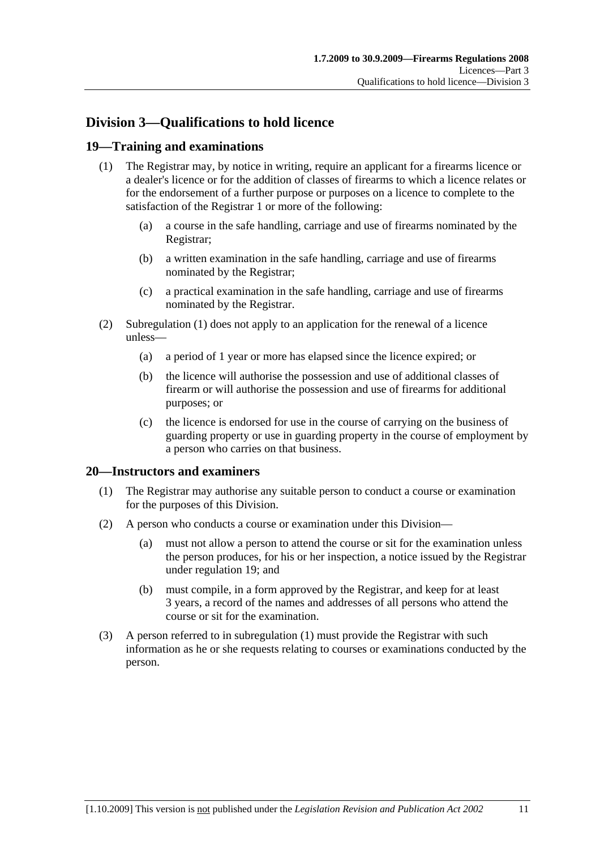## **Division 3—Qualifications to hold licence**

#### **19—Training and examinations**

- (1) The Registrar may, by notice in writing, require an applicant for a firearms licence or a dealer's licence or for the addition of classes of firearms to which a licence relates or for the endorsement of a further purpose or purposes on a licence to complete to the satisfaction of the Registrar 1 or more of the following:
	- (a) a course in the safe handling, carriage and use of firearms nominated by the Registrar;
	- (b) a written examination in the safe handling, carriage and use of firearms nominated by the Registrar;
	- (c) a practical examination in the safe handling, carriage and use of firearms nominated by the Registrar.
- (2) Subregulation (1) does not apply to an application for the renewal of a licence unless—
	- (a) a period of 1 year or more has elapsed since the licence expired; or
	- (b) the licence will authorise the possession and use of additional classes of firearm or will authorise the possession and use of firearms for additional purposes; or
	- (c) the licence is endorsed for use in the course of carrying on the business of guarding property or use in guarding property in the course of employment by a person who carries on that business.

#### **20—Instructors and examiners**

- (1) The Registrar may authorise any suitable person to conduct a course or examination for the purposes of this Division.
- (2) A person who conducts a course or examination under this Division—
	- (a) must not allow a person to attend the course or sit for the examination unless the person produces, for his or her inspection, a notice issued by the Registrar under regulation 19; and
	- (b) must compile, in a form approved by the Registrar, and keep for at least 3 years, a record of the names and addresses of all persons who attend the course or sit for the examination.
- (3) A person referred to in subregulation (1) must provide the Registrar with such information as he or she requests relating to courses or examinations conducted by the person.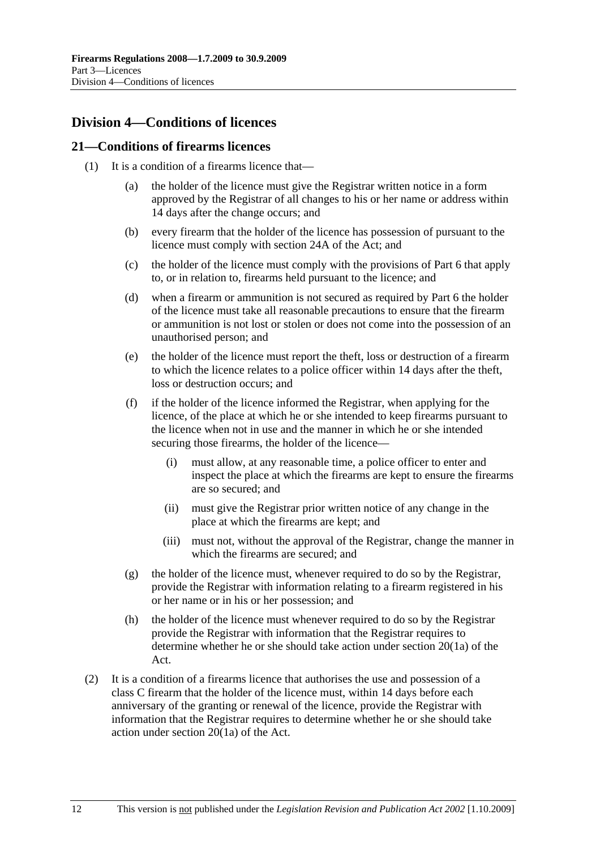## **Division 4—Conditions of licences**

#### **21—Conditions of firearms licences**

- (1) It is a condition of a firearms licence that—
	- (a) the holder of the licence must give the Registrar written notice in a form approved by the Registrar of all changes to his or her name or address within 14 days after the change occurs; and
	- (b) every firearm that the holder of the licence has possession of pursuant to the licence must comply with section 24A of the Act; and
	- (c) the holder of the licence must comply with the provisions of Part 6 that apply to, or in relation to, firearms held pursuant to the licence; and
	- (d) when a firearm or ammunition is not secured as required by Part 6 the holder of the licence must take all reasonable precautions to ensure that the firearm or ammunition is not lost or stolen or does not come into the possession of an unauthorised person; and
	- (e) the holder of the licence must report the theft, loss or destruction of a firearm to which the licence relates to a police officer within 14 days after the theft, loss or destruction occurs; and
	- (f) if the holder of the licence informed the Registrar, when applying for the licence, of the place at which he or she intended to keep firearms pursuant to the licence when not in use and the manner in which he or she intended securing those firearms, the holder of the licence—
		- (i) must allow, at any reasonable time, a police officer to enter and inspect the place at which the firearms are kept to ensure the firearms are so secured; and
		- (ii) must give the Registrar prior written notice of any change in the place at which the firearms are kept; and
		- (iii) must not, without the approval of the Registrar, change the manner in which the firearms are secured; and
	- (g) the holder of the licence must, whenever required to do so by the Registrar, provide the Registrar with information relating to a firearm registered in his or her name or in his or her possession; and
	- (h) the holder of the licence must whenever required to do so by the Registrar provide the Registrar with information that the Registrar requires to determine whether he or she should take action under section 20(1a) of the Act.
- (2) It is a condition of a firearms licence that authorises the use and possession of a class C firearm that the holder of the licence must, within 14 days before each anniversary of the granting or renewal of the licence, provide the Registrar with information that the Registrar requires to determine whether he or she should take action under section 20(1a) of the Act.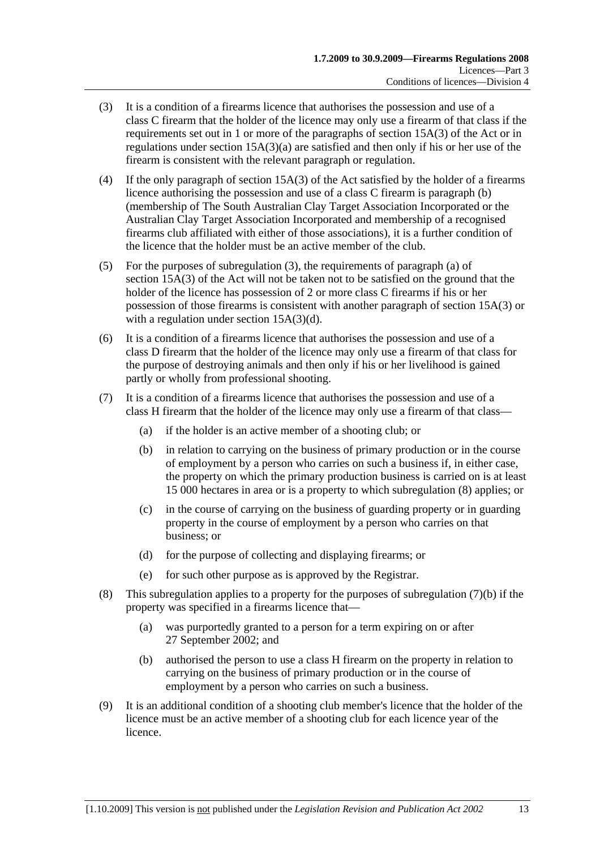- (3) It is a condition of a firearms licence that authorises the possession and use of a class C firearm that the holder of the licence may only use a firearm of that class if the requirements set out in 1 or more of the paragraphs of section 15A(3) of the Act or in regulations under section 15A(3)(a) are satisfied and then only if his or her use of the firearm is consistent with the relevant paragraph or regulation.
- (4) If the only paragraph of section 15A(3) of the Act satisfied by the holder of a firearms licence authorising the possession and use of a class C firearm is paragraph (b) (membership of The South Australian Clay Target Association Incorporated or the Australian Clay Target Association Incorporated and membership of a recognised firearms club affiliated with either of those associations), it is a further condition of the licence that the holder must be an active member of the club.
- (5) For the purposes of subregulation (3), the requirements of paragraph (a) of section 15A(3) of the Act will not be taken not to be satisfied on the ground that the holder of the licence has possession of 2 or more class C firearms if his or her possession of those firearms is consistent with another paragraph of section 15A(3) or with a regulation under section 15A(3)(d).
- (6) It is a condition of a firearms licence that authorises the possession and use of a class D firearm that the holder of the licence may only use a firearm of that class for the purpose of destroying animals and then only if his or her livelihood is gained partly or wholly from professional shooting.
- (7) It is a condition of a firearms licence that authorises the possession and use of a class H firearm that the holder of the licence may only use a firearm of that class—
	- (a) if the holder is an active member of a shooting club; or
	- (b) in relation to carrying on the business of primary production or in the course of employment by a person who carries on such a business if, in either case, the property on which the primary production business is carried on is at least 15 000 hectares in area or is a property to which subregulation (8) applies; or
	- (c) in the course of carrying on the business of guarding property or in guarding property in the course of employment by a person who carries on that business; or
	- (d) for the purpose of collecting and displaying firearms; or
	- (e) for such other purpose as is approved by the Registrar.
- (8) This subregulation applies to a property for the purposes of subregulation  $(7)(b)$  if the property was specified in a firearms licence that—
	- (a) was purportedly granted to a person for a term expiring on or after 27 September 2002; and
	- (b) authorised the person to use a class H firearm on the property in relation to carrying on the business of primary production or in the course of employment by a person who carries on such a business.
- (9) It is an additional condition of a shooting club member's licence that the holder of the licence must be an active member of a shooting club for each licence year of the licence.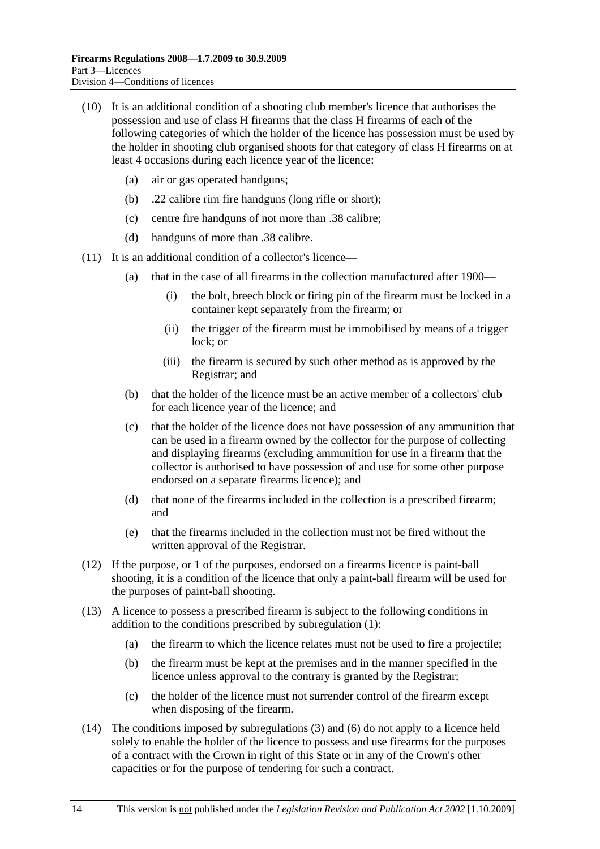- (10) It is an additional condition of a shooting club member's licence that authorises the possession and use of class H firearms that the class H firearms of each of the following categories of which the holder of the licence has possession must be used by the holder in shooting club organised shoots for that category of class H firearms on at least 4 occasions during each licence year of the licence:
	- (a) air or gas operated handguns;
	- (b) .22 calibre rim fire handguns (long rifle or short);
	- (c) centre fire handguns of not more than .38 calibre;
	- (d) handguns of more than .38 calibre.
- (11) It is an additional condition of a collector's licence—
	- (a) that in the case of all firearms in the collection manufactured after 1900—
		- (i) the bolt, breech block or firing pin of the firearm must be locked in a container kept separately from the firearm; or
		- (ii) the trigger of the firearm must be immobilised by means of a trigger lock; or
		- (iii) the firearm is secured by such other method as is approved by the Registrar; and
	- (b) that the holder of the licence must be an active member of a collectors' club for each licence year of the licence; and
	- (c) that the holder of the licence does not have possession of any ammunition that can be used in a firearm owned by the collector for the purpose of collecting and displaying firearms (excluding ammunition for use in a firearm that the collector is authorised to have possession of and use for some other purpose endorsed on a separate firearms licence); and
	- (d) that none of the firearms included in the collection is a prescribed firearm; and
	- (e) that the firearms included in the collection must not be fired without the written approval of the Registrar.
- (12) If the purpose, or 1 of the purposes, endorsed on a firearms licence is paint-ball shooting, it is a condition of the licence that only a paint-ball firearm will be used for the purposes of paint-ball shooting.
- (13) A licence to possess a prescribed firearm is subject to the following conditions in addition to the conditions prescribed by subregulation (1):
	- (a) the firearm to which the licence relates must not be used to fire a projectile;
	- (b) the firearm must be kept at the premises and in the manner specified in the licence unless approval to the contrary is granted by the Registrar;
	- (c) the holder of the licence must not surrender control of the firearm except when disposing of the firearm.
- (14) The conditions imposed by subregulations (3) and (6) do not apply to a licence held solely to enable the holder of the licence to possess and use firearms for the purposes of a contract with the Crown in right of this State or in any of the Crown's other capacities or for the purpose of tendering for such a contract.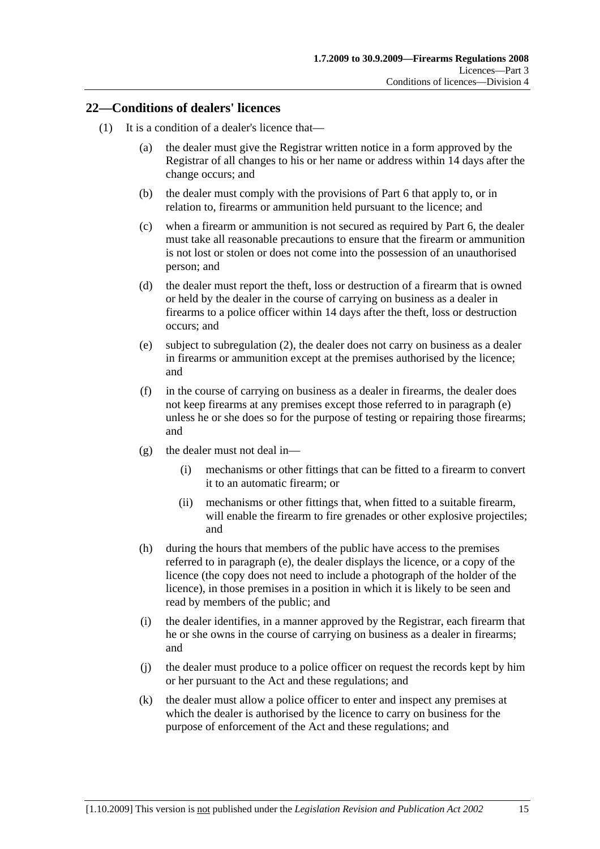#### **22—Conditions of dealers' licences**

- (1) It is a condition of a dealer's licence that—
	- (a) the dealer must give the Registrar written notice in a form approved by the Registrar of all changes to his or her name or address within 14 days after the change occurs; and
	- (b) the dealer must comply with the provisions of Part 6 that apply to, or in relation to, firearms or ammunition held pursuant to the licence; and
	- (c) when a firearm or ammunition is not secured as required by Part 6, the dealer must take all reasonable precautions to ensure that the firearm or ammunition is not lost or stolen or does not come into the possession of an unauthorised person; and
	- (d) the dealer must report the theft, loss or destruction of a firearm that is owned or held by the dealer in the course of carrying on business as a dealer in firearms to a police officer within 14 days after the theft, loss or destruction occurs; and
	- (e) subject to subregulation (2), the dealer does not carry on business as a dealer in firearms or ammunition except at the premises authorised by the licence; and
	- (f) in the course of carrying on business as a dealer in firearms, the dealer does not keep firearms at any premises except those referred to in paragraph (e) unless he or she does so for the purpose of testing or repairing those firearms; and
	- (g) the dealer must not deal in—
		- (i) mechanisms or other fittings that can be fitted to a firearm to convert it to an automatic firearm; or
		- (ii) mechanisms or other fittings that, when fitted to a suitable firearm, will enable the firearm to fire grenades or other explosive projectiles; and
	- (h) during the hours that members of the public have access to the premises referred to in paragraph (e), the dealer displays the licence, or a copy of the licence (the copy does not need to include a photograph of the holder of the licence), in those premises in a position in which it is likely to be seen and read by members of the public; and
	- (i) the dealer identifies, in a manner approved by the Registrar, each firearm that he or she owns in the course of carrying on business as a dealer in firearms; and
	- (j) the dealer must produce to a police officer on request the records kept by him or her pursuant to the Act and these regulations; and
	- (k) the dealer must allow a police officer to enter and inspect any premises at which the dealer is authorised by the licence to carry on business for the purpose of enforcement of the Act and these regulations; and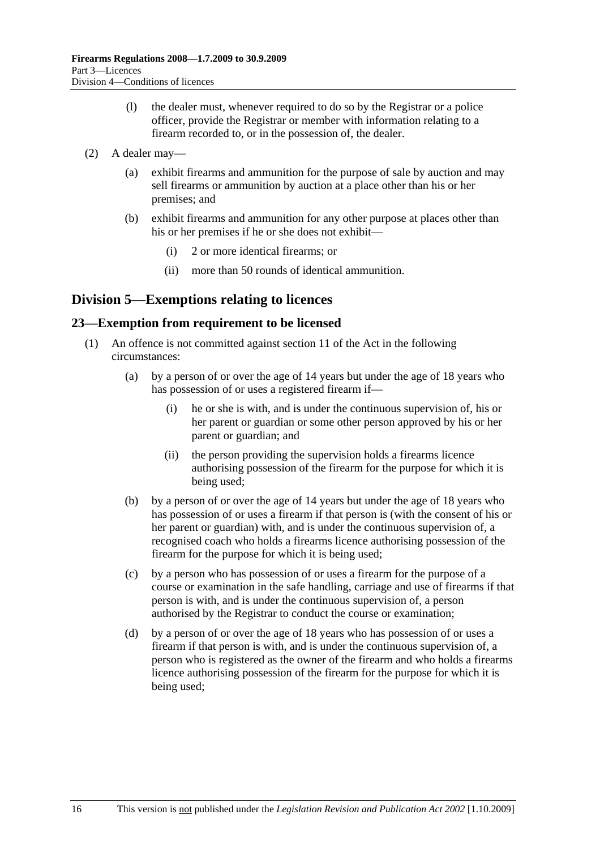- (l) the dealer must, whenever required to do so by the Registrar or a police officer, provide the Registrar or member with information relating to a firearm recorded to, or in the possession of, the dealer.
- (2) A dealer may—
	- (a) exhibit firearms and ammunition for the purpose of sale by auction and may sell firearms or ammunition by auction at a place other than his or her premises; and
	- (b) exhibit firearms and ammunition for any other purpose at places other than his or her premises if he or she does not exhibit—
		- (i) 2 or more identical firearms; or
		- (ii) more than 50 rounds of identical ammunition.

## **Division 5—Exemptions relating to licences**

#### **23—Exemption from requirement to be licensed**

- (1) An offence is not committed against section 11 of the Act in the following circumstances:
	- (a) by a person of or over the age of 14 years but under the age of 18 years who has possession of or uses a registered firearm if—
		- (i) he or she is with, and is under the continuous supervision of, his or her parent or guardian or some other person approved by his or her parent or guardian; and
		- (ii) the person providing the supervision holds a firearms licence authorising possession of the firearm for the purpose for which it is being used;
	- (b) by a person of or over the age of 14 years but under the age of 18 years who has possession of or uses a firearm if that person is (with the consent of his or her parent or guardian) with, and is under the continuous supervision of, a recognised coach who holds a firearms licence authorising possession of the firearm for the purpose for which it is being used;
	- (c) by a person who has possession of or uses a firearm for the purpose of a course or examination in the safe handling, carriage and use of firearms if that person is with, and is under the continuous supervision of, a person authorised by the Registrar to conduct the course or examination;
	- (d) by a person of or over the age of 18 years who has possession of or uses a firearm if that person is with, and is under the continuous supervision of, a person who is registered as the owner of the firearm and who holds a firearms licence authorising possession of the firearm for the purpose for which it is being used;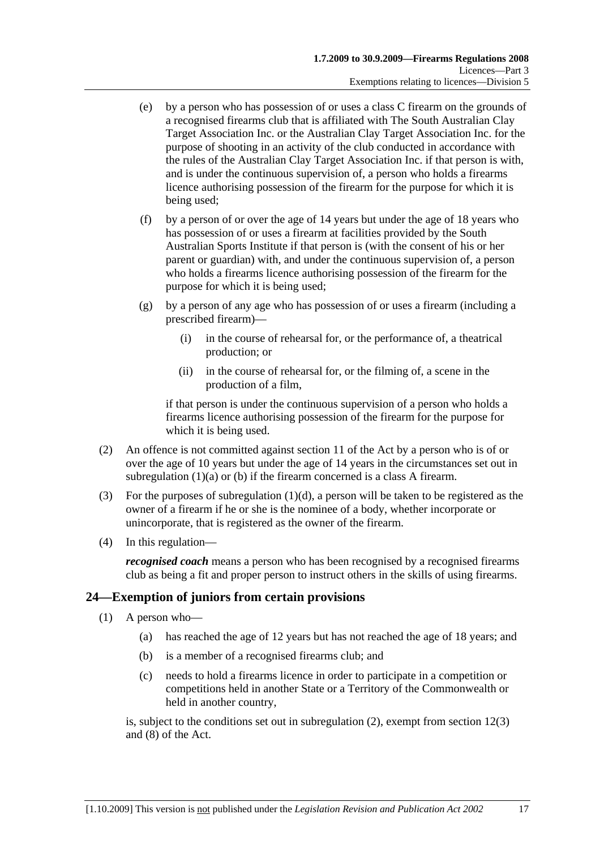- (e) by a person who has possession of or uses a class C firearm on the grounds of a recognised firearms club that is affiliated with The South Australian Clay Target Association Inc. or the Australian Clay Target Association Inc. for the purpose of shooting in an activity of the club conducted in accordance with the rules of the Australian Clay Target Association Inc. if that person is with, and is under the continuous supervision of, a person who holds a firearms licence authorising possession of the firearm for the purpose for which it is being used;
- (f) by a person of or over the age of 14 years but under the age of 18 years who has possession of or uses a firearm at facilities provided by the South Australian Sports Institute if that person is (with the consent of his or her parent or guardian) with, and under the continuous supervision of, a person who holds a firearms licence authorising possession of the firearm for the purpose for which it is being used;
- (g) by a person of any age who has possession of or uses a firearm (including a prescribed firearm)—
	- (i) in the course of rehearsal for, or the performance of, a theatrical production; or
	- (ii) in the course of rehearsal for, or the filming of, a scene in the production of a film,

if that person is under the continuous supervision of a person who holds a firearms licence authorising possession of the firearm for the purpose for which it is being used.

- (2) An offence is not committed against section 11 of the Act by a person who is of or over the age of 10 years but under the age of 14 years in the circumstances set out in subregulation (1)(a) or (b) if the firearm concerned is a class A firearm.
- (3) For the purposes of subregulation  $(1)(d)$ , a person will be taken to be registered as the owner of a firearm if he or she is the nominee of a body, whether incorporate or unincorporate, that is registered as the owner of the firearm.
- (4) In this regulation—

*recognised coach* means a person who has been recognised by a recognised firearms club as being a fit and proper person to instruct others in the skills of using firearms.

### **24—Exemption of juniors from certain provisions**

- (1) A person who—
	- (a) has reached the age of 12 years but has not reached the age of 18 years; and
	- (b) is a member of a recognised firearms club; and
	- (c) needs to hold a firearms licence in order to participate in a competition or competitions held in another State or a Territory of the Commonwealth or held in another country,

is, subject to the conditions set out in subregulation (2), exempt from section 12(3) and (8) of the Act.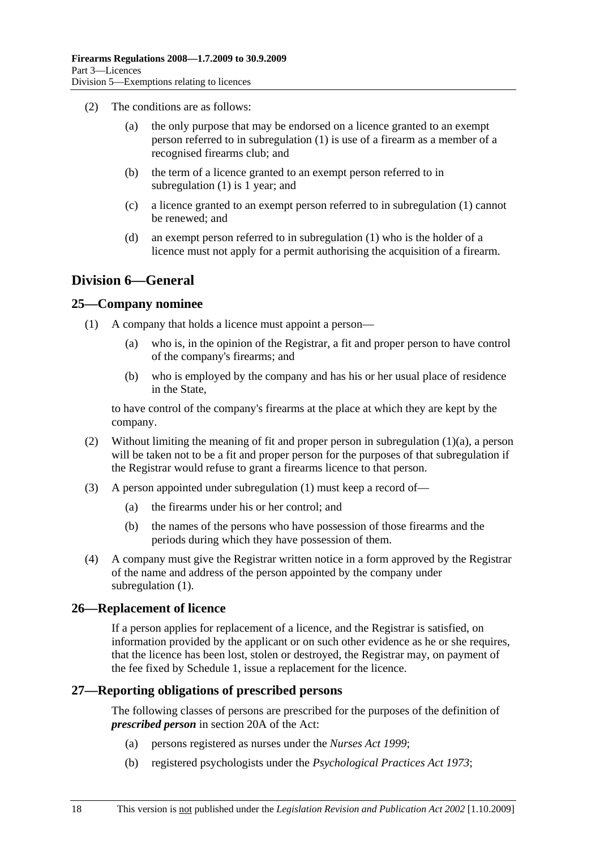- (2) The conditions are as follows:
	- (a) the only purpose that may be endorsed on a licence granted to an exempt person referred to in subregulation (1) is use of a firearm as a member of a recognised firearms club; and
	- (b) the term of a licence granted to an exempt person referred to in subregulation (1) is 1 year; and
	- (c) a licence granted to an exempt person referred to in subregulation (1) cannot be renewed; and
	- (d) an exempt person referred to in subregulation (1) who is the holder of a licence must not apply for a permit authorising the acquisition of a firearm.

## **Division 6—General**

#### **25—Company nominee**

- (1) A company that holds a licence must appoint a person—
	- (a) who is, in the opinion of the Registrar, a fit and proper person to have control of the company's firearms; and
	- (b) who is employed by the company and has his or her usual place of residence in the State,

to have control of the company's firearms at the place at which they are kept by the company.

- (2) Without limiting the meaning of fit and proper person in subregulation (1)(a), a person will be taken not to be a fit and proper person for the purposes of that subregulation if the Registrar would refuse to grant a firearms licence to that person.
- (3) A person appointed under subregulation (1) must keep a record of—
	- (a) the firearms under his or her control; and
	- (b) the names of the persons who have possession of those firearms and the periods during which they have possession of them.
- (4) A company must give the Registrar written notice in a form approved by the Registrar of the name and address of the person appointed by the company under subregulation  $(1)$ .

#### **26—Replacement of licence**

If a person applies for replacement of a licence, and the Registrar is satisfied, on information provided by the applicant or on such other evidence as he or she requires, that the licence has been lost, stolen or destroyed, the Registrar may, on payment of the fee fixed by Schedule 1, issue a replacement for the licence.

#### **27—Reporting obligations of prescribed persons**

The following classes of persons are prescribed for the purposes of the definition of *prescribed person* in section 20A of the Act:

- (a) persons registered as nurses under the *Nurses Act 1999*;
- (b) registered psychologists under the *Psychological Practices Act 1973*;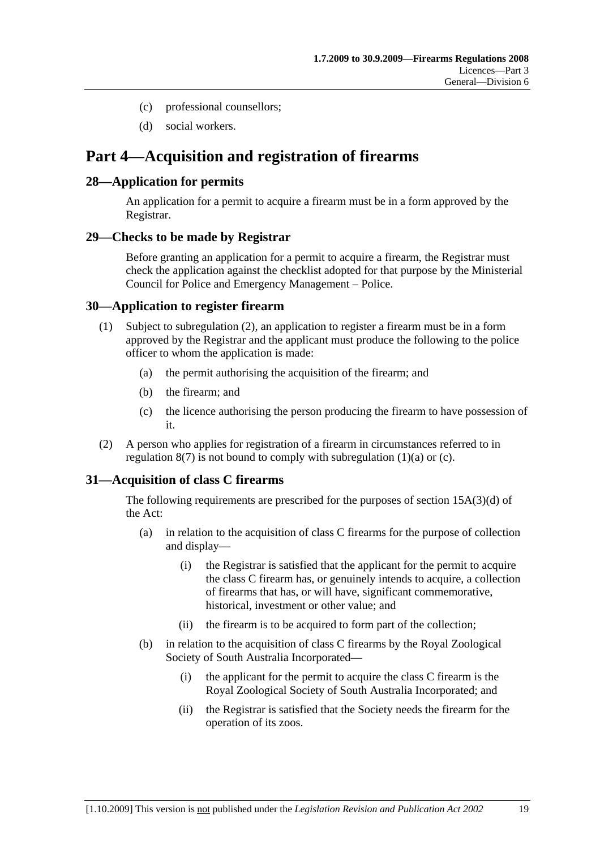- (c) professional counsellors;
- (d) social workers.

## **Part 4—Acquisition and registration of firearms**

#### **28—Application for permits**

An application for a permit to acquire a firearm must be in a form approved by the Registrar.

#### **29—Checks to be made by Registrar**

Before granting an application for a permit to acquire a firearm, the Registrar must check the application against the checklist adopted for that purpose by the Ministerial Council for Police and Emergency Management – Police.

#### **30—Application to register firearm**

- (1) Subject to subregulation (2), an application to register a firearm must be in a form approved by the Registrar and the applicant must produce the following to the police officer to whom the application is made:
	- (a) the permit authorising the acquisition of the firearm; and
	- (b) the firearm; and
	- (c) the licence authorising the person producing the firearm to have possession of it.
- (2) A person who applies for registration of a firearm in circumstances referred to in regulation  $8(7)$  is not bound to comply with subregulation  $(1)(a)$  or  $(c)$ .

### **31—Acquisition of class C firearms**

The following requirements are prescribed for the purposes of section 15A(3)(d) of the Act:

- (a) in relation to the acquisition of class C firearms for the purpose of collection and display—
	- (i) the Registrar is satisfied that the applicant for the permit to acquire the class C firearm has, or genuinely intends to acquire, a collection of firearms that has, or will have, significant commemorative, historical, investment or other value; and
	- (ii) the firearm is to be acquired to form part of the collection;
- (b) in relation to the acquisition of class C firearms by the Royal Zoological Society of South Australia Incorporated—
	- (i) the applicant for the permit to acquire the class C firearm is the Royal Zoological Society of South Australia Incorporated; and
	- (ii) the Registrar is satisfied that the Society needs the firearm for the operation of its zoos.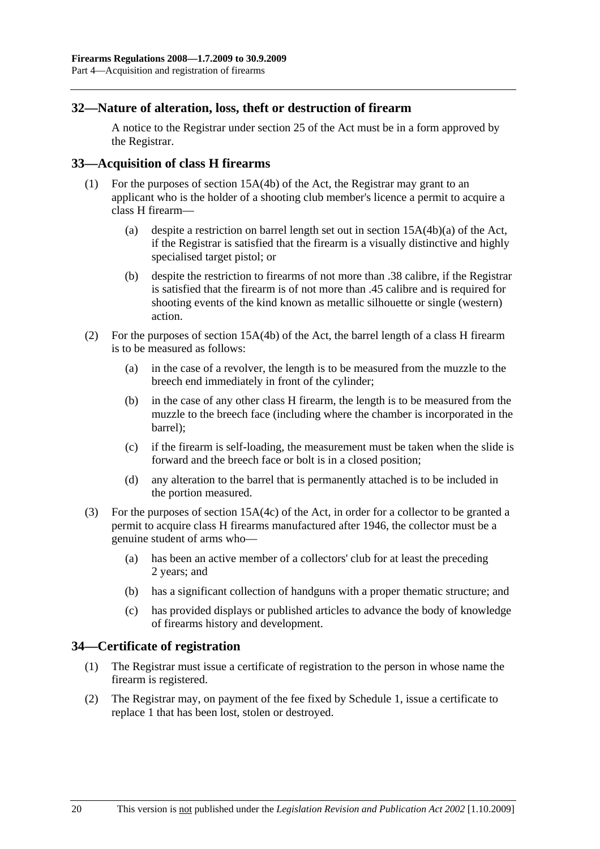#### **32—Nature of alteration, loss, theft or destruction of firearm**

A notice to the Registrar under section 25 of the Act must be in a form approved by the Registrar.

#### **33—Acquisition of class H firearms**

- (1) For the purposes of section 15A(4b) of the Act, the Registrar may grant to an applicant who is the holder of a shooting club member's licence a permit to acquire a class H firearm—
	- (a) despite a restriction on barrel length set out in section 15A(4b)(a) of the Act, if the Registrar is satisfied that the firearm is a visually distinctive and highly specialised target pistol; or
	- (b) despite the restriction to firearms of not more than .38 calibre, if the Registrar is satisfied that the firearm is of not more than .45 calibre and is required for shooting events of the kind known as metallic silhouette or single (western) action.
- (2) For the purposes of section 15A(4b) of the Act, the barrel length of a class H firearm is to be measured as follows:
	- (a) in the case of a revolver, the length is to be measured from the muzzle to the breech end immediately in front of the cylinder;
	- (b) in the case of any other class H firearm, the length is to be measured from the muzzle to the breech face (including where the chamber is incorporated in the barrel);
	- (c) if the firearm is self-loading, the measurement must be taken when the slide is forward and the breech face or bolt is in a closed position;
	- (d) any alteration to the barrel that is permanently attached is to be included in the portion measured.
- (3) For the purposes of section 15A(4c) of the Act, in order for a collector to be granted a permit to acquire class H firearms manufactured after 1946, the collector must be a genuine student of arms who—
	- (a) has been an active member of a collectors' club for at least the preceding 2 years; and
	- (b) has a significant collection of handguns with a proper thematic structure; and
	- (c) has provided displays or published articles to advance the body of knowledge of firearms history and development.

#### **34—Certificate of registration**

- (1) The Registrar must issue a certificate of registration to the person in whose name the firearm is registered.
- (2) The Registrar may, on payment of the fee fixed by Schedule 1, issue a certificate to replace 1 that has been lost, stolen or destroyed.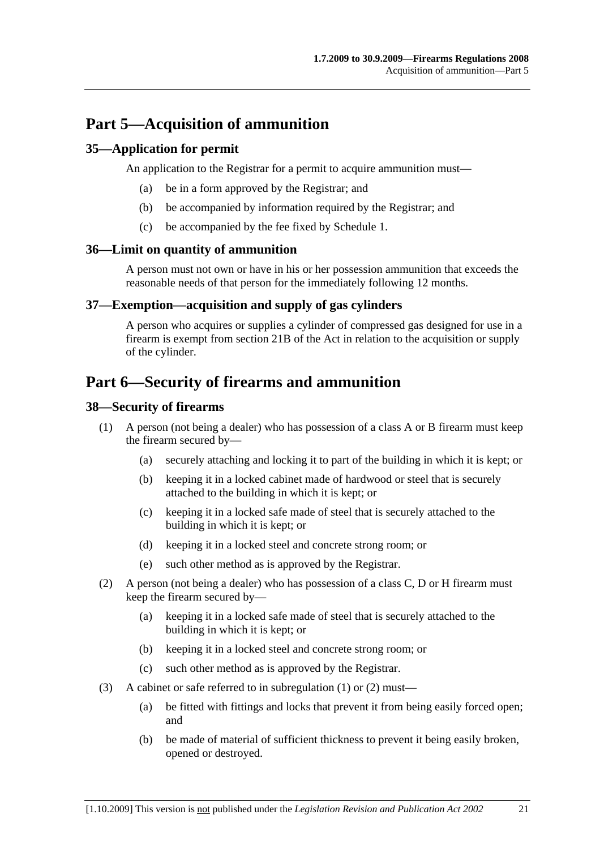## **Part 5—Acquisition of ammunition**

#### **35—Application for permit**

An application to the Registrar for a permit to acquire ammunition must—

- (a) be in a form approved by the Registrar; and
- (b) be accompanied by information required by the Registrar; and
- (c) be accompanied by the fee fixed by Schedule 1.

#### **36—Limit on quantity of ammunition**

A person must not own or have in his or her possession ammunition that exceeds the reasonable needs of that person for the immediately following 12 months.

#### **37—Exemption—acquisition and supply of gas cylinders**

A person who acquires or supplies a cylinder of compressed gas designed for use in a firearm is exempt from section 21B of the Act in relation to the acquisition or supply of the cylinder.

## **Part 6—Security of firearms and ammunition**

#### **38—Security of firearms**

- (1) A person (not being a dealer) who has possession of a class A or B firearm must keep the firearm secured by—
	- (a) securely attaching and locking it to part of the building in which it is kept; or
	- (b) keeping it in a locked cabinet made of hardwood or steel that is securely attached to the building in which it is kept; or
	- (c) keeping it in a locked safe made of steel that is securely attached to the building in which it is kept; or
	- (d) keeping it in a locked steel and concrete strong room; or
	- (e) such other method as is approved by the Registrar.
- (2) A person (not being a dealer) who has possession of a class C, D or H firearm must keep the firearm secured by—
	- (a) keeping it in a locked safe made of steel that is securely attached to the building in which it is kept; or
	- (b) keeping it in a locked steel and concrete strong room; or
	- (c) such other method as is approved by the Registrar.
- (3) A cabinet or safe referred to in subregulation (1) or (2) must—
	- (a) be fitted with fittings and locks that prevent it from being easily forced open; and
	- (b) be made of material of sufficient thickness to prevent it being easily broken, opened or destroyed.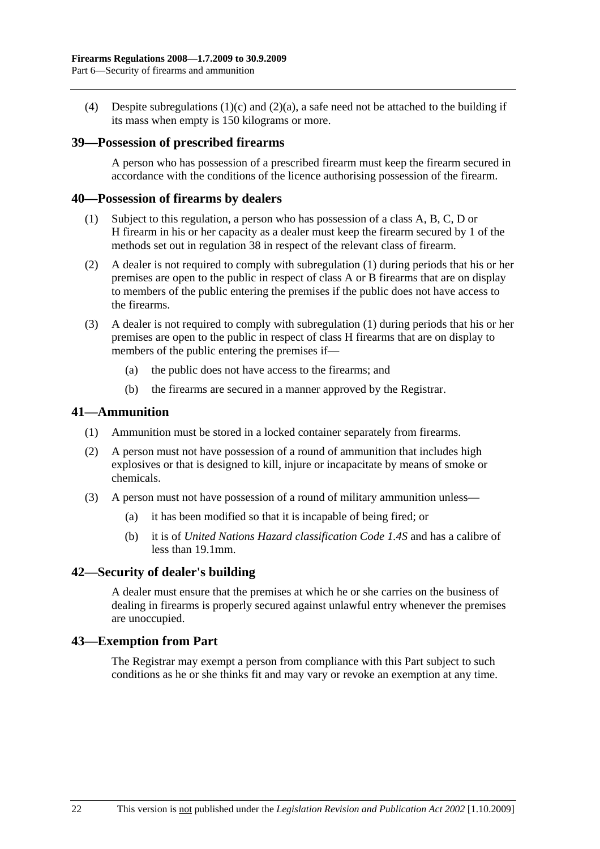(4) Despite subregulations (1)(c) and (2)(a), a safe need not be attached to the building if its mass when empty is 150 kilograms or more.

#### **39—Possession of prescribed firearms**

A person who has possession of a prescribed firearm must keep the firearm secured in accordance with the conditions of the licence authorising possession of the firearm.

#### **40—Possession of firearms by dealers**

- (1) Subject to this regulation, a person who has possession of a class A, B, C, D or H firearm in his or her capacity as a dealer must keep the firearm secured by 1 of the methods set out in regulation 38 in respect of the relevant class of firearm.
- (2) A dealer is not required to comply with subregulation (1) during periods that his or her premises are open to the public in respect of class A or B firearms that are on display to members of the public entering the premises if the public does not have access to the firearms.
- (3) A dealer is not required to comply with subregulation (1) during periods that his or her premises are open to the public in respect of class H firearms that are on display to members of the public entering the premises if—
	- (a) the public does not have access to the firearms; and
	- (b) the firearms are secured in a manner approved by the Registrar.

#### **41—Ammunition**

- (1) Ammunition must be stored in a locked container separately from firearms.
- (2) A person must not have possession of a round of ammunition that includes high explosives or that is designed to kill, injure or incapacitate by means of smoke or chemicals.
- (3) A person must not have possession of a round of military ammunition unless—
	- (a) it has been modified so that it is incapable of being fired; or
	- (b) it is of *United Nations Hazard classification Code 1.4S* and has a calibre of less than 19.1mm.

#### **42—Security of dealer's building**

A dealer must ensure that the premises at which he or she carries on the business of dealing in firearms is properly secured against unlawful entry whenever the premises are unoccupied.

#### **43—Exemption from Part**

The Registrar may exempt a person from compliance with this Part subject to such conditions as he or she thinks fit and may vary or revoke an exemption at any time.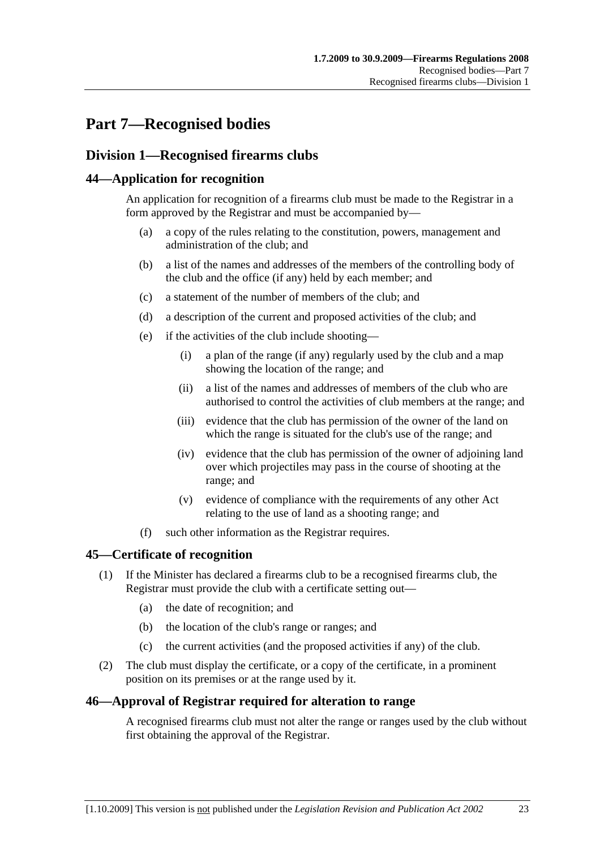# **Part 7—Recognised bodies**

## **Division 1—Recognised firearms clubs**

#### **44—Application for recognition**

An application for recognition of a firearms club must be made to the Registrar in a form approved by the Registrar and must be accompanied by—

- (a) a copy of the rules relating to the constitution, powers, management and administration of the club; and
- (b) a list of the names and addresses of the members of the controlling body of the club and the office (if any) held by each member; and
- (c) a statement of the number of members of the club; and
- (d) a description of the current and proposed activities of the club; and
- (e) if the activities of the club include shooting—
	- (i) a plan of the range (if any) regularly used by the club and a map showing the location of the range; and
	- (ii) a list of the names and addresses of members of the club who are authorised to control the activities of club members at the range; and
	- (iii) evidence that the club has permission of the owner of the land on which the range is situated for the club's use of the range; and
	- (iv) evidence that the club has permission of the owner of adjoining land over which projectiles may pass in the course of shooting at the range; and
	- (v) evidence of compliance with the requirements of any other Act relating to the use of land as a shooting range; and
- (f) such other information as the Registrar requires.

#### **45—Certificate of recognition**

- (1) If the Minister has declared a firearms club to be a recognised firearms club, the Registrar must provide the club with a certificate setting out—
	- (a) the date of recognition; and
	- (b) the location of the club's range or ranges; and
	- (c) the current activities (and the proposed activities if any) of the club.
- (2) The club must display the certificate, or a copy of the certificate, in a prominent position on its premises or at the range used by it.

#### **46—Approval of Registrar required for alteration to range**

A recognised firearms club must not alter the range or ranges used by the club without first obtaining the approval of the Registrar.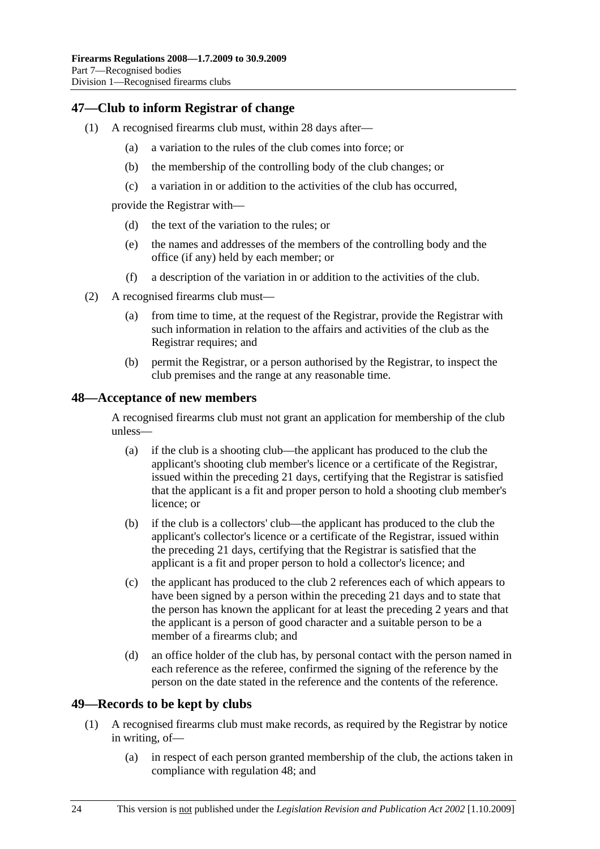#### **47—Club to inform Registrar of change**

- (1) A recognised firearms club must, within 28 days after—
	- (a) a variation to the rules of the club comes into force; or
	- (b) the membership of the controlling body of the club changes; or
	- (c) a variation in or addition to the activities of the club has occurred,

provide the Registrar with—

- (d) the text of the variation to the rules; or
- (e) the names and addresses of the members of the controlling body and the office (if any) held by each member; or
- (f) a description of the variation in or addition to the activities of the club.
- (2) A recognised firearms club must—
	- (a) from time to time, at the request of the Registrar, provide the Registrar with such information in relation to the affairs and activities of the club as the Registrar requires; and
	- (b) permit the Registrar, or a person authorised by the Registrar, to inspect the club premises and the range at any reasonable time.

#### **48—Acceptance of new members**

A recognised firearms club must not grant an application for membership of the club unless—

- (a) if the club is a shooting club—the applicant has produced to the club the applicant's shooting club member's licence or a certificate of the Registrar, issued within the preceding 21 days, certifying that the Registrar is satisfied that the applicant is a fit and proper person to hold a shooting club member's licence; or
- (b) if the club is a collectors' club—the applicant has produced to the club the applicant's collector's licence or a certificate of the Registrar, issued within the preceding 21 days, certifying that the Registrar is satisfied that the applicant is a fit and proper person to hold a collector's licence; and
- (c) the applicant has produced to the club 2 references each of which appears to have been signed by a person within the preceding 21 days and to state that the person has known the applicant for at least the preceding 2 years and that the applicant is a person of good character and a suitable person to be a member of a firearms club; and
- (d) an office holder of the club has, by personal contact with the person named in each reference as the referee, confirmed the signing of the reference by the person on the date stated in the reference and the contents of the reference.

#### **49—Records to be kept by clubs**

- (1) A recognised firearms club must make records, as required by the Registrar by notice in writing, of—
	- (a) in respect of each person granted membership of the club, the actions taken in compliance with regulation 48; and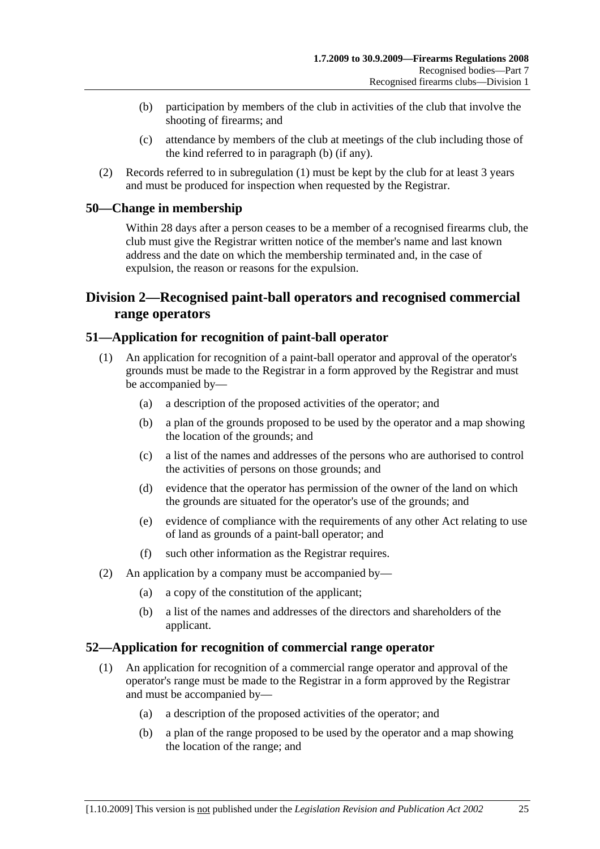- (b) participation by members of the club in activities of the club that involve the shooting of firearms; and
- (c) attendance by members of the club at meetings of the club including those of the kind referred to in paragraph (b) (if any).
- (2) Records referred to in subregulation (1) must be kept by the club for at least 3 years and must be produced for inspection when requested by the Registrar.

#### **50—Change in membership**

Within 28 days after a person ceases to be a member of a recognised firearms club, the club must give the Registrar written notice of the member's name and last known address and the date on which the membership terminated and, in the case of expulsion, the reason or reasons for the expulsion.

### **Division 2—Recognised paint-ball operators and recognised commercial range operators**

#### **51—Application for recognition of paint-ball operator**

- (1) An application for recognition of a paint-ball operator and approval of the operator's grounds must be made to the Registrar in a form approved by the Registrar and must be accompanied by—
	- (a) a description of the proposed activities of the operator; and
	- (b) a plan of the grounds proposed to be used by the operator and a map showing the location of the grounds; and
	- (c) a list of the names and addresses of the persons who are authorised to control the activities of persons on those grounds; and
	- (d) evidence that the operator has permission of the owner of the land on which the grounds are situated for the operator's use of the grounds; and
	- (e) evidence of compliance with the requirements of any other Act relating to use of land as grounds of a paint-ball operator; and
	- (f) such other information as the Registrar requires.
- (2) An application by a company must be accompanied by—
	- (a) a copy of the constitution of the applicant;
	- (b) a list of the names and addresses of the directors and shareholders of the applicant.

#### **52—Application for recognition of commercial range operator**

- (1) An application for recognition of a commercial range operator and approval of the operator's range must be made to the Registrar in a form approved by the Registrar and must be accompanied by—
	- (a) a description of the proposed activities of the operator; and
	- (b) a plan of the range proposed to be used by the operator and a map showing the location of the range; and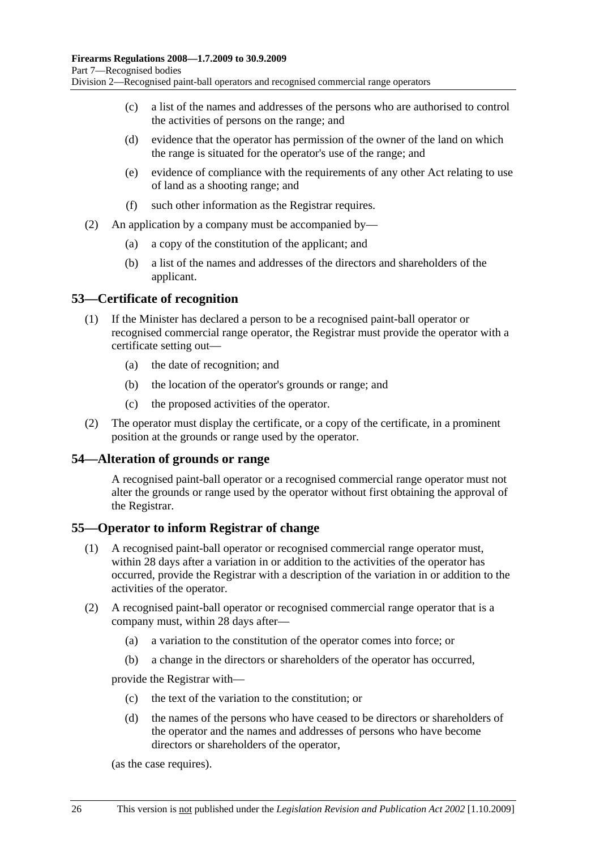- (c) a list of the names and addresses of the persons who are authorised to control the activities of persons on the range; and
- (d) evidence that the operator has permission of the owner of the land on which the range is situated for the operator's use of the range; and
- (e) evidence of compliance with the requirements of any other Act relating to use of land as a shooting range; and
- (f) such other information as the Registrar requires.
- (2) An application by a company must be accompanied by—
	- (a) a copy of the constitution of the applicant; and
	- (b) a list of the names and addresses of the directors and shareholders of the applicant.

#### **53—Certificate of recognition**

- (1) If the Minister has declared a person to be a recognised paint-ball operator or recognised commercial range operator, the Registrar must provide the operator with a certificate setting out—
	- (a) the date of recognition; and
	- (b) the location of the operator's grounds or range; and
	- (c) the proposed activities of the operator.
- (2) The operator must display the certificate, or a copy of the certificate, in a prominent position at the grounds or range used by the operator.

#### **54—Alteration of grounds or range**

A recognised paint-ball operator or a recognised commercial range operator must not alter the grounds or range used by the operator without first obtaining the approval of the Registrar.

#### **55—Operator to inform Registrar of change**

- (1) A recognised paint-ball operator or recognised commercial range operator must, within 28 days after a variation in or addition to the activities of the operator has occurred, provide the Registrar with a description of the variation in or addition to the activities of the operator.
- (2) A recognised paint-ball operator or recognised commercial range operator that is a company must, within 28 days after—
	- (a) a variation to the constitution of the operator comes into force; or
	- (b) a change in the directors or shareholders of the operator has occurred,

provide the Registrar with—

- (c) the text of the variation to the constitution; or
- (d) the names of the persons who have ceased to be directors or shareholders of the operator and the names and addresses of persons who have become directors or shareholders of the operator,

(as the case requires).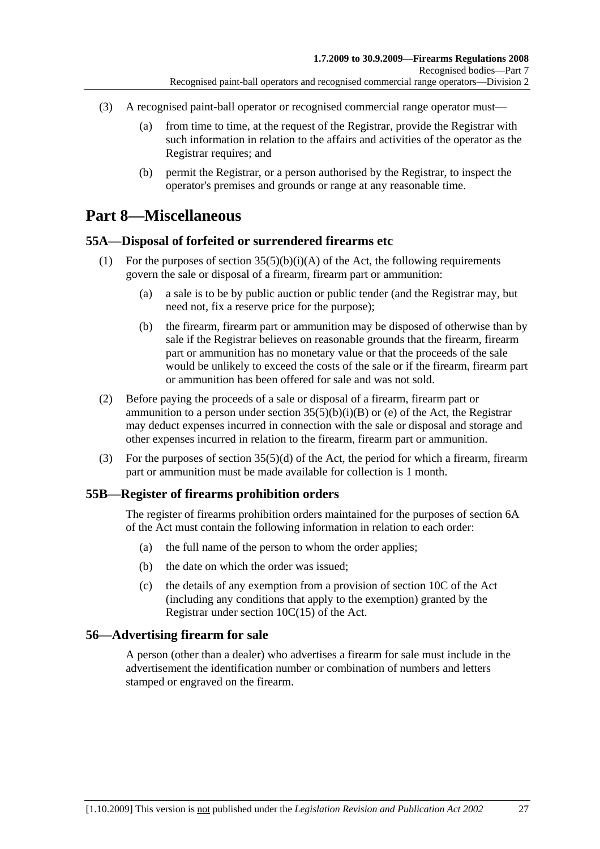- (3) A recognised paint-ball operator or recognised commercial range operator must—
	- (a) from time to time, at the request of the Registrar, provide the Registrar with such information in relation to the affairs and activities of the operator as the Registrar requires; and
	- (b) permit the Registrar, or a person authorised by the Registrar, to inspect the operator's premises and grounds or range at any reasonable time.

## **Part 8—Miscellaneous**

#### **55A—Disposal of forfeited or surrendered firearms etc**

- (1) For the purposes of section  $35(5)(b)(i)(A)$  of the Act, the following requirements govern the sale or disposal of a firearm, firearm part or ammunition:
	- (a) a sale is to be by public auction or public tender (and the Registrar may, but need not, fix a reserve price for the purpose);
	- (b) the firearm, firearm part or ammunition may be disposed of otherwise than by sale if the Registrar believes on reasonable grounds that the firearm, firearm part or ammunition has no monetary value or that the proceeds of the sale would be unlikely to exceed the costs of the sale or if the firearm, firearm part or ammunition has been offered for sale and was not sold.
- (2) Before paying the proceeds of a sale or disposal of a firearm, firearm part or ammunition to a person under section  $35(5)(b)(i)(B)$  or (e) of the Act, the Registrar may deduct expenses incurred in connection with the sale or disposal and storage and other expenses incurred in relation to the firearm, firearm part or ammunition.
- (3) For the purposes of section 35(5)(d) of the Act, the period for which a firearm, firearm part or ammunition must be made available for collection is 1 month.

#### **55B—Register of firearms prohibition orders**

The register of firearms prohibition orders maintained for the purposes of section 6A of the Act must contain the following information in relation to each order:

- (a) the full name of the person to whom the order applies;
- (b) the date on which the order was issued;
- (c) the details of any exemption from a provision of section 10C of the Act (including any conditions that apply to the exemption) granted by the Registrar under section 10C(15) of the Act.

#### **56—Advertising firearm for sale**

A person (other than a dealer) who advertises a firearm for sale must include in the advertisement the identification number or combination of numbers and letters stamped or engraved on the firearm.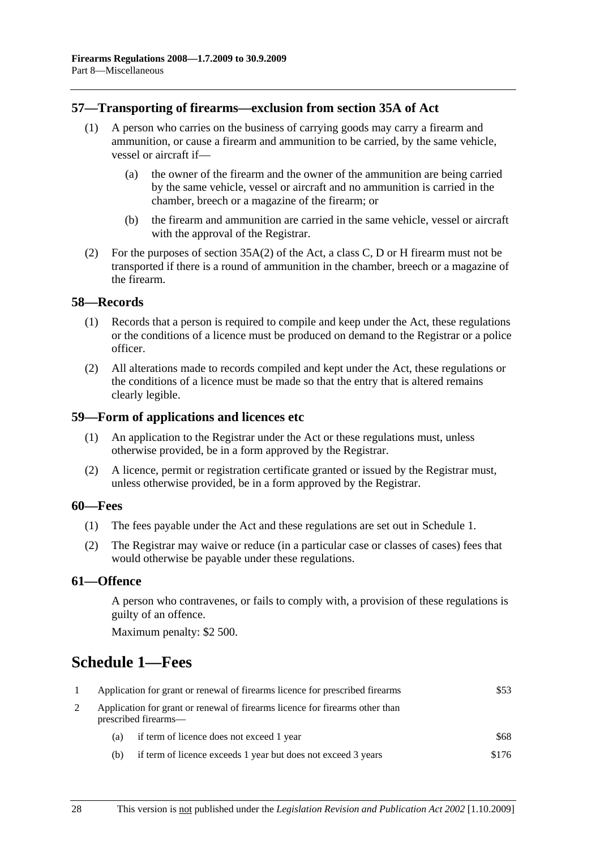#### **57—Transporting of firearms—exclusion from section 35A of Act**

- (1) A person who carries on the business of carrying goods may carry a firearm and ammunition, or cause a firearm and ammunition to be carried, by the same vehicle, vessel or aircraft if—
	- (a) the owner of the firearm and the owner of the ammunition are being carried by the same vehicle, vessel or aircraft and no ammunition is carried in the chamber, breech or a magazine of the firearm; or
	- (b) the firearm and ammunition are carried in the same vehicle, vessel or aircraft with the approval of the Registrar.
- (2) For the purposes of section 35A(2) of the Act, a class C, D or H firearm must not be transported if there is a round of ammunition in the chamber, breech or a magazine of the firearm.

#### **58—Records**

- (1) Records that a person is required to compile and keep under the Act, these regulations or the conditions of a licence must be produced on demand to the Registrar or a police officer.
- (2) All alterations made to records compiled and kept under the Act, these regulations or the conditions of a licence must be made so that the entry that is altered remains clearly legible.

#### **59—Form of applications and licences etc**

- (1) An application to the Registrar under the Act or these regulations must, unless otherwise provided, be in a form approved by the Registrar.
- (2) A licence, permit or registration certificate granted or issued by the Registrar must, unless otherwise provided, be in a form approved by the Registrar.

#### **60—Fees**

- (1) The fees payable under the Act and these regulations are set out in Schedule 1.
- (2) The Registrar may waive or reduce (in a particular case or classes of cases) fees that would otherwise be payable under these regulations.

#### **61—Offence**

A person who contravenes, or fails to comply with, a provision of these regulations is guilty of an offence.

Maximum penalty: \$2 500.

## **Schedule 1—Fees**

| Application for grant or renewal of firearms licence for prescribed firearms                         |                                                               | \$53  |
|------------------------------------------------------------------------------------------------------|---------------------------------------------------------------|-------|
| Application for grant or renewal of firearms licence for firearms other than<br>prescribed firearms— |                                                               |       |
| (a)                                                                                                  | if term of licence does not exceed 1 year                     | \$68  |
| (b)                                                                                                  | if term of licence exceeds 1 year but does not exceed 3 years | \$176 |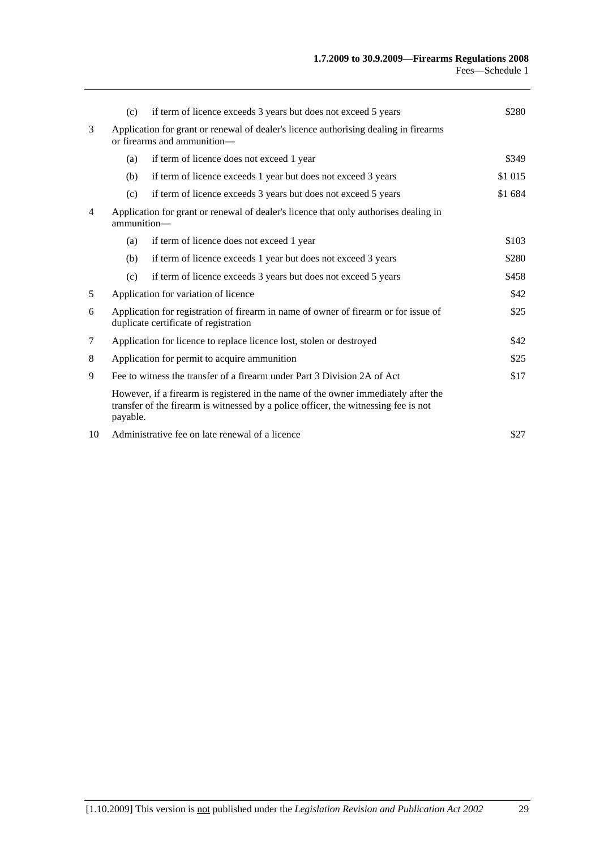|    | (c)                                                                                                                 | if term of licence exceeds 3 years but does not exceed 5 years                                                                                                            | \$280   |
|----|---------------------------------------------------------------------------------------------------------------------|---------------------------------------------------------------------------------------------------------------------------------------------------------------------------|---------|
| 3  | Application for grant or renewal of dealer's licence authorising dealing in firearms<br>or firearms and ammunition— |                                                                                                                                                                           |         |
|    | (a)                                                                                                                 | if term of licence does not exceed 1 year                                                                                                                                 | \$349   |
|    | (b)                                                                                                                 | if term of licence exceeds 1 year but does not exceed 3 years                                                                                                             | \$1 015 |
|    | (c)                                                                                                                 | if term of licence exceeds 3 years but does not exceed 5 years                                                                                                            | \$1 684 |
| 4  | Application for grant or renewal of dealer's licence that only authorises dealing in<br>ammunition-                 |                                                                                                                                                                           |         |
|    | (a)                                                                                                                 | if term of licence does not exceed 1 year                                                                                                                                 | \$103   |
|    | (b)                                                                                                                 | if term of licence exceeds 1 year but does not exceed 3 years                                                                                                             | \$280   |
|    | (c)                                                                                                                 | if term of licence exceeds 3 years but does not exceed 5 years                                                                                                            | \$458   |
| 5  |                                                                                                                     | Application for variation of licence                                                                                                                                      | \$42    |
| 6  |                                                                                                                     | Application for registration of firearm in name of owner of firearm or for issue of<br>duplicate certificate of registration                                              | \$25    |
| 7  |                                                                                                                     | Application for licence to replace licence lost, stolen or destroyed                                                                                                      | \$42    |
| 8  |                                                                                                                     | Application for permit to acquire ammunition                                                                                                                              | \$25    |
| 9  |                                                                                                                     | Fee to witness the transfer of a firearm under Part 3 Division 2A of Act                                                                                                  | \$17    |
|    | payable.                                                                                                            | However, if a firearm is registered in the name of the owner immediately after the<br>transfer of the firearm is witnessed by a police officer, the witnessing fee is not |         |
| 10 |                                                                                                                     | Administrative fee on late renewal of a licence                                                                                                                           | \$27    |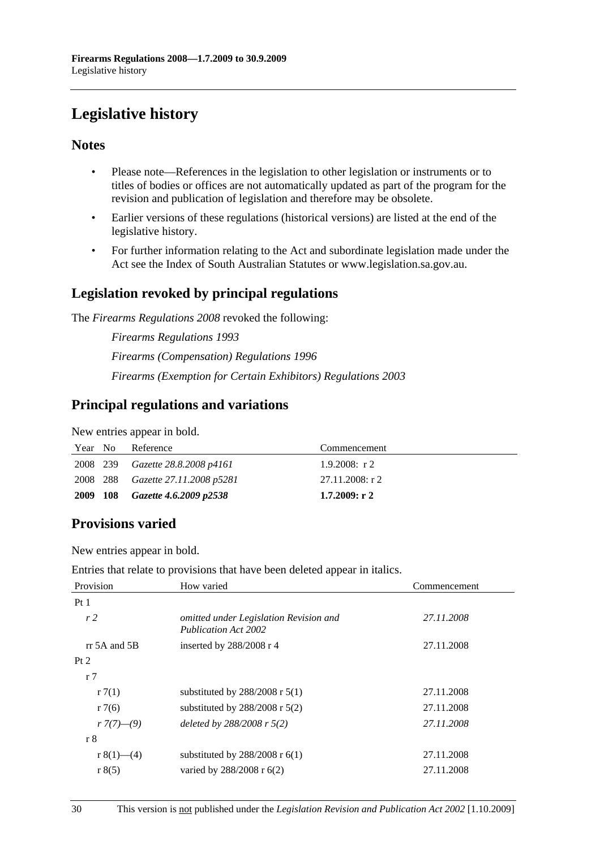# **Legislative history**

### **Notes**

- Please note—References in the legislation to other legislation or instruments or to titles of bodies or offices are not automatically updated as part of the program for the revision and publication of legislation and therefore may be obsolete.
- Earlier versions of these regulations (historical versions) are listed at the end of the legislative history.
- For further information relating to the Act and subordinate legislation made under the Act see the Index of South Australian Statutes or www.legislation.sa.gov.au.

### **Legislation revoked by principal regulations**

The *Firearms Regulations 2008* revoked the following:

*Firearms Regulations 1993 Firearms (Compensation) Regulations 1996 Firearms (Exemption for Certain Exhibitors) Regulations 2003*

### **Principal regulations and variations**

New entries appear in bold.

| Year No | Reference                         | Commencement    |
|---------|-----------------------------------|-----------------|
|         | 2008 239 Gazette 28.8.2008 p4161  | 1.9.2008: $r2$  |
|         | 2008 288 Gazette 27.11.2008 p5281 | 27.11.2008: r 2 |
|         | 2009 108 Gazette 4.6.2009 p2538   | 1.7.2009: r2    |

## **Provisions varied**

New entries appear in bold.

Entries that relate to provisions that have been deleted appear in italics.

| Provision          | How varied                                                            | Commencement |
|--------------------|-----------------------------------------------------------------------|--------------|
| Pt1                |                                                                       |              |
| r <sub>2</sub>     | omitted under Legislation Revision and<br><b>Publication Act 2002</b> | 27.11.2008   |
| $rr$ 5A and 5B     | inserted by $288/2008$ r 4                                            | 27.11.2008   |
| Pt 2               |                                                                       |              |
| r <sub>7</sub>     |                                                                       |              |
| r7(1)              | substituted by $288/2008$ r $5(1)$                                    | 27.11.2008   |
| r7(6)              | substituted by $288/2008$ r $5(2)$                                    | 27.11.2008   |
| $r \frac{7(7)}{9}$ | deleted by $288/2008$ r $5(2)$                                        | 27.11.2008   |
| r 8                |                                                                       |              |
| r 8(1)—(4)         | substituted by $288/2008$ r 6(1)                                      | 27.11.2008   |
| r 8(5)             | varied by $288/2008$ r $6(2)$                                         | 27.11.2008   |
|                    |                                                                       |              |